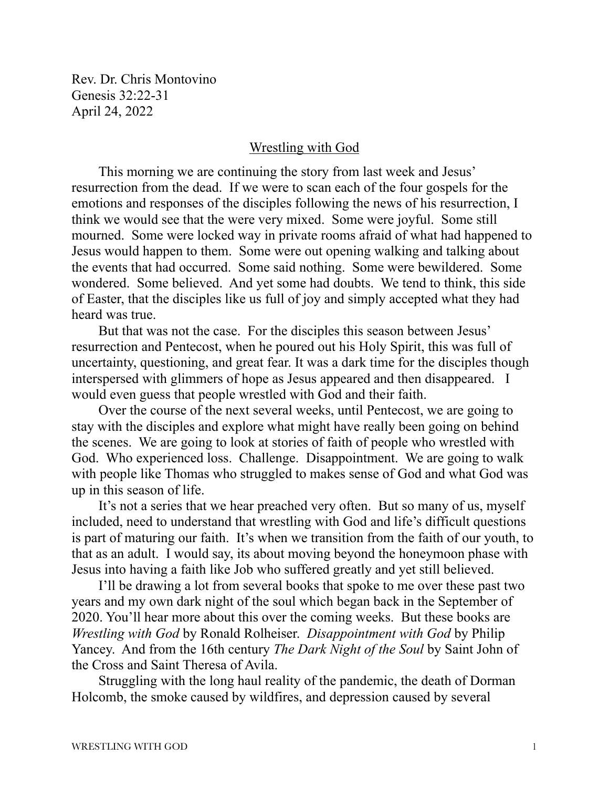Rev. Dr. Chris Montovino Genesis 32:22-31 April 24, 2022

## Wrestling with God

This morning we are continuing the story from last week and Jesus' resurrection from the dead. If we were to scan each of the four gospels for the emotions and responses of the disciples following the news of his resurrection, I think we would see that the were very mixed. Some were joyful. Some still mourned. Some were locked way in private rooms afraid of what had happened to Jesus would happen to them. Some were out opening walking and talking about the events that had occurred. Some said nothing. Some were bewildered. Some wondered. Some believed. And yet some had doubts. We tend to think, this side of Easter, that the disciples like us full of joy and simply accepted what they had heard was true.

But that was not the case. For the disciples this season between Jesus' resurrection and Pentecost, when he poured out his Holy Spirit, this was full of uncertainty, questioning, and great fear. It was a dark time for the disciples though interspersed with glimmers of hope as Jesus appeared and then disappeared. I would even guess that people wrestled with God and their faith.

Over the course of the next several weeks, until Pentecost, we are going to stay with the disciples and explore what might have really been going on behind the scenes. We are going to look at stories of faith of people who wrestled with God. Who experienced loss. Challenge. Disappointment. We are going to walk with people like Thomas who struggled to makes sense of God and what God was up in this season of life.

It's not a series that we hear preached very often. But so many of us, myself included, need to understand that wrestling with God and life's difficult questions is part of maturing our faith. It's when we transition from the faith of our youth, to that as an adult. I would say, its about moving beyond the honeymoon phase with Jesus into having a faith like Job who suffered greatly and yet still believed.

I'll be drawing a lot from several books that spoke to me over these past two years and my own dark night of the soul which began back in the September of 2020. You'll hear more about this over the coming weeks. But these books are *Wrestling with God* by Ronald Rolheiser. *Disappointment with God* by Philip Yancey. And from the 16th century *The Dark Night of the Soul* by Saint John of the Cross and Saint Theresa of Avila.

Struggling with the long haul reality of the pandemic, the death of Dorman Holcomb, the smoke caused by wildfires, and depression caused by several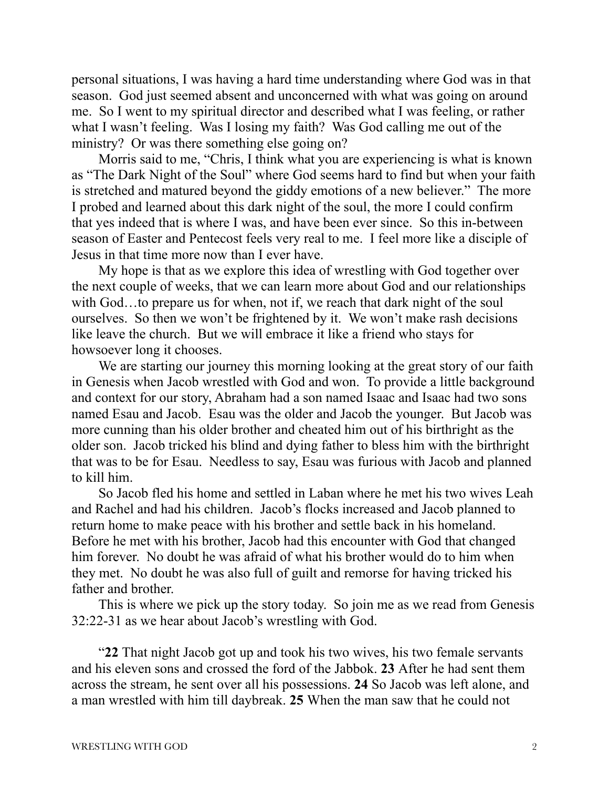personal situations, I was having a hard time understanding where God was in that season. God just seemed absent and unconcerned with what was going on around me. So I went to my spiritual director and described what I was feeling, or rather what I wasn't feeling. Was I losing my faith? Was God calling me out of the ministry? Or was there something else going on?

Morris said to me, "Chris, I think what you are experiencing is what is known as "The Dark Night of the Soul" where God seems hard to find but when your faith is stretched and matured beyond the giddy emotions of a new believer." The more I probed and learned about this dark night of the soul, the more I could confirm that yes indeed that is where I was, and have been ever since. So this in-between season of Easter and Pentecost feels very real to me. I feel more like a disciple of Jesus in that time more now than I ever have.

My hope is that as we explore this idea of wrestling with God together over the next couple of weeks, that we can learn more about God and our relationships with God...to prepare us for when, not if, we reach that dark night of the soul ourselves. So then we won't be frightened by it. We won't make rash decisions like leave the church. But we will embrace it like a friend who stays for howsoever long it chooses.

We are starting our journey this morning looking at the great story of our faith in Genesis when Jacob wrestled with God and won. To provide a little background and context for our story, Abraham had a son named Isaac and Isaac had two sons named Esau and Jacob. Esau was the older and Jacob the younger. But Jacob was more cunning than his older brother and cheated him out of his birthright as the older son. Jacob tricked his blind and dying father to bless him with the birthright that was to be for Esau. Needless to say, Esau was furious with Jacob and planned to kill him.

So Jacob fled his home and settled in Laban where he met his two wives Leah and Rachel and had his children. Jacob's flocks increased and Jacob planned to return home to make peace with his brother and settle back in his homeland. Before he met with his brother, Jacob had this encounter with God that changed him forever. No doubt he was afraid of what his brother would do to him when they met. No doubt he was also full of guilt and remorse for having tricked his father and brother.

This is where we pick up the story today. So join me as we read from Genesis 32:22-31 as we hear about Jacob's wrestling with God.

"**22** That night Jacob got up and took his two wives, his two female servants and his eleven sons and crossed the ford of the Jabbok. **23** After he had sent them across the stream, he sent over all his possessions. **24** So Jacob was left alone, and a man wrestled with him till daybreak. **25** When the man saw that he could not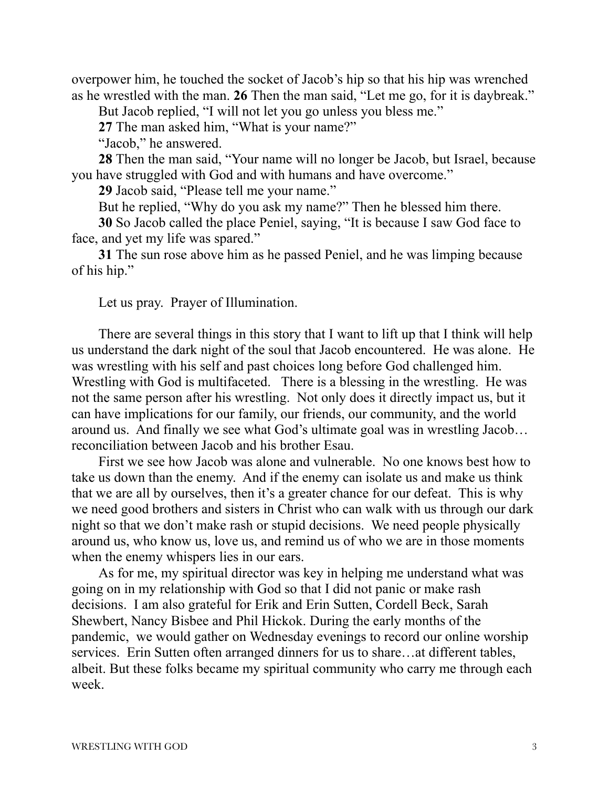overpower him, he touched the socket of Jacob's hip so that his hip was wrenched as he wrestled with the man. **26** Then the man said, "Let me go, for it is daybreak."

But Jacob replied, "I will not let you go unless you bless me."

**27** The man asked him, "What is your name?"

"Jacob," he answered.

**28** Then the man said, "Your name will no longer be Jacob, but Israel, because you have struggled with God and with humans and have overcome."

**29** Jacob said, "Please tell me your name."

But he replied, "Why do you ask my name?" Then he blessed him there.

**30** So Jacob called the place Peniel, saying, "It is because I saw God face to face, and yet my life was spared."

**31** The sun rose above him as he passed Peniel, and he was limping because of his hip."

Let us pray. Prayer of Illumination.

There are several things in this story that I want to lift up that I think will help us understand the dark night of the soul that Jacob encountered. He was alone. He was wrestling with his self and past choices long before God challenged him. Wrestling with God is multifaceted. There is a blessing in the wrestling. He was not the same person after his wrestling. Not only does it directly impact us, but it can have implications for our family, our friends, our community, and the world around us. And finally we see what God's ultimate goal was in wrestling Jacob… reconciliation between Jacob and his brother Esau.

First we see how Jacob was alone and vulnerable. No one knows best how to take us down than the enemy. And if the enemy can isolate us and make us think that we are all by ourselves, then it's a greater chance for our defeat. This is why we need good brothers and sisters in Christ who can walk with us through our dark night so that we don't make rash or stupid decisions. We need people physically around us, who know us, love us, and remind us of who we are in those moments when the enemy whispers lies in our ears.

As for me, my spiritual director was key in helping me understand what was going on in my relationship with God so that I did not panic or make rash decisions. I am also grateful for Erik and Erin Sutten, Cordell Beck, Sarah Shewbert, Nancy Bisbee and Phil Hickok. During the early months of the pandemic, we would gather on Wednesday evenings to record our online worship services. Erin Sutten often arranged dinners for us to share…at different tables, albeit. But these folks became my spiritual community who carry me through each week.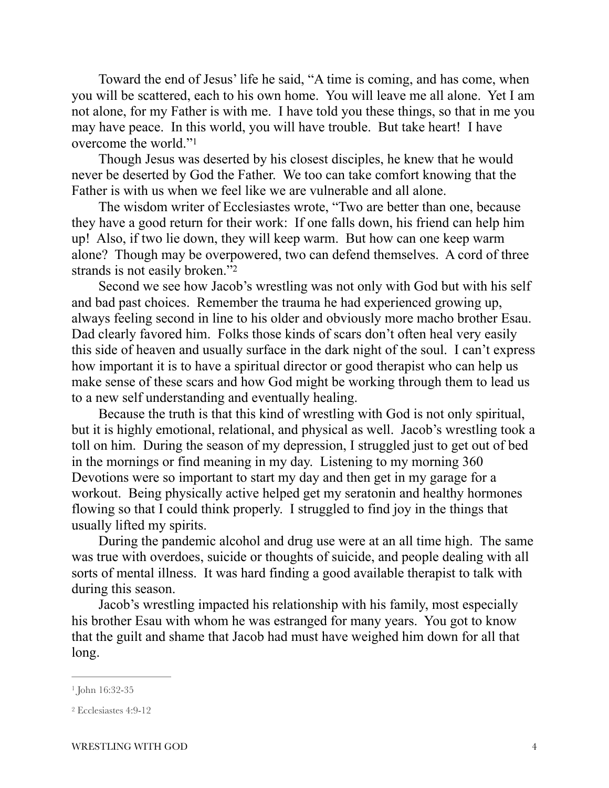Toward the end of Jesus' life he said, "A time is coming, and has come, when you will be scattered, each to his own home. You will leave me all alone. Yet I am not alone, for my Father is with me. I have told you these things, so that in me you may have peace. In this world, you will have trouble. But take heart! I have overcome the world."[1](#page-3-0)

<span id="page-3-2"></span>Though Jesus was deserted by his closest disciples, he knew that he would never be deserted by God the Father. We too can take comfort knowing that the Father is with us when we feel like we are vulnerable and all alone.

The wisdom writer of Ecclesiastes wrote, "Two are better than one, because they have a good return for their work: If one falls down, his friend can help him up! Also, if two lie down, they will keep warm. But how can one keep warm alone? Though may be overpowered, two can defend themselves. A cord of three strands is not easily broken.["2](#page-3-1)

<span id="page-3-3"></span>Second we see how Jacob's wrestling was not only with God but with his self and bad past choices. Remember the trauma he had experienced growing up, always feeling second in line to his older and obviously more macho brother Esau. Dad clearly favored him. Folks those kinds of scars don't often heal very easily this side of heaven and usually surface in the dark night of the soul. I can't express how important it is to have a spiritual director or good therapist who can help us make sense of these scars and how God might be working through them to lead us to a new self understanding and eventually healing.

Because the truth is that this kind of wrestling with God is not only spiritual, but it is highly emotional, relational, and physical as well. Jacob's wrestling took a toll on him. During the season of my depression, I struggled just to get out of bed in the mornings or find meaning in my day. Listening to my morning 360 Devotions were so important to start my day and then get in my garage for a workout. Being physically active helped get my seratonin and healthy hormones flowing so that I could think properly. I struggled to find joy in the things that usually lifted my spirits.

During the pandemic alcohol and drug use were at an all time high. The same was true with overdoes, suicide or thoughts of suicide, and people dealing with all sorts of mental illness. It was hard finding a good available therapist to talk with during this season.

Jacob's wrestling impacted his relationship with his family, most especially his brother Esau with whom he was estranged for many years. You got to know that the guilt and shame that Jacob had must have weighed him down for all that long.

<span id="page-3-0"></span>[<sup>1</sup>](#page-3-2) John 16:32-35

<span id="page-3-1"></span>[<sup>2</sup>](#page-3-3) Ecclesiastes 4:9-12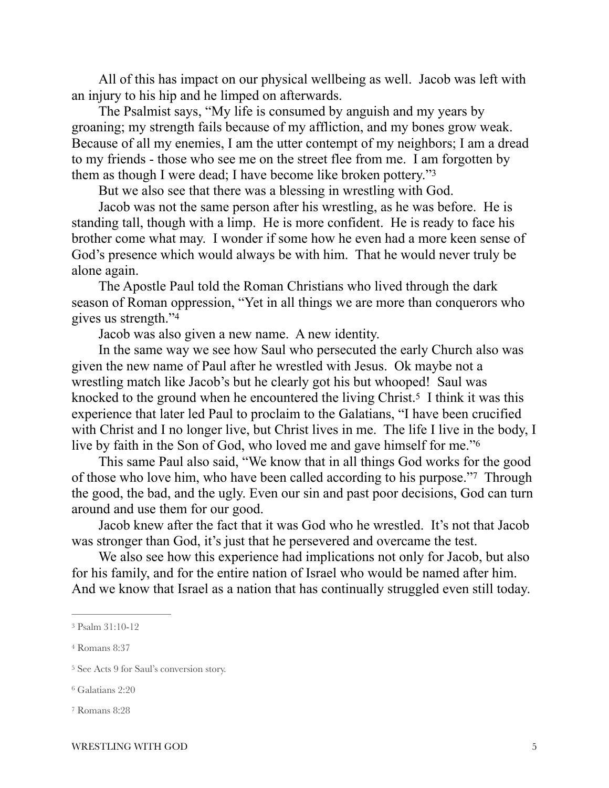All of this has impact on our physical wellbeing as well. Jacob was left with an injury to his hip and he limped on afterwards.

The Psalmist says, "My life is consumed by anguish and my years by groaning; my strength fails because of my affliction, and my bones grow weak. Because of all my enemies, I am the utter contempt of my neighbors; I am a dread to my friends - those who see me on the street flee from me. I am forgotten by them as though I were dead; I have become like broken pottery.["3](#page-4-0)

<span id="page-4-5"></span>But we also see that there was a blessing in wrestling with God.

Jacob was not the same person after his wrestling, as he was before. He is standing tall, though with a limp. He is more confident. He is ready to face his brother come what may. I wonder if some how he even had a more keen sense of God's presence which would always be with him. That he would never truly be alone again.

The Apostle Paul told the Roman Christians who lived through the dark season of Roman oppression, "Yet in all things we are more than conquerors who gives us strength."[4](#page-4-1)

<span id="page-4-9"></span><span id="page-4-8"></span><span id="page-4-7"></span><span id="page-4-6"></span>Jacob was also given a new name. A new identity.

In the same way we see how Saul who persecuted the early Church also was given the new name of Paul after he wrestled with Jesus. Ok maybe not a wrestling match like Jacob's but he clearly got his but whooped! Saul was knocked to the ground when he encountered the living Christ.<sup>[5](#page-4-2)</sup> I think it was this experience that later led Paul to proclaim to the Galatians, "I have been crucified with Christ and I no longer live, but Christ lives in me. The life I live in the body, I live by faith in the Son of God, who loved me and gave himself for me.["6](#page-4-3)

This same Paul also said, "We know that in all things God works for the good of those who love him, who have been called according to his purpose."<sup>[7](#page-4-4)</sup> Through the good, the bad, and the ugly. Even our sin and past poor decisions, God can turn around and use them for our good.

Jacob knew after the fact that it was God who he wrestled. It's not that Jacob was stronger than God, it's just that he persevered and overcame the test.

We also see how this experience had implications not only for Jacob, but also for his family, and for the entire nation of Israel who would be named after him. And we know that Israel as a nation that has continually struggled even still today.

<span id="page-4-0"></span>[<sup>3</sup>](#page-4-5) Psalm 31:10-12

<span id="page-4-1"></span>[<sup>4</sup>](#page-4-6) Romans 8:37

<span id="page-4-2"></span><sup>&</sup>lt;sup>[5](#page-4-7)</sup> See Acts 9 for Saul's conversion story.

<span id="page-4-3"></span>[<sup>6</sup>](#page-4-8) Galatians 2:20

<span id="page-4-4"></span>[<sup>7</sup>](#page-4-9) Romans 8:28